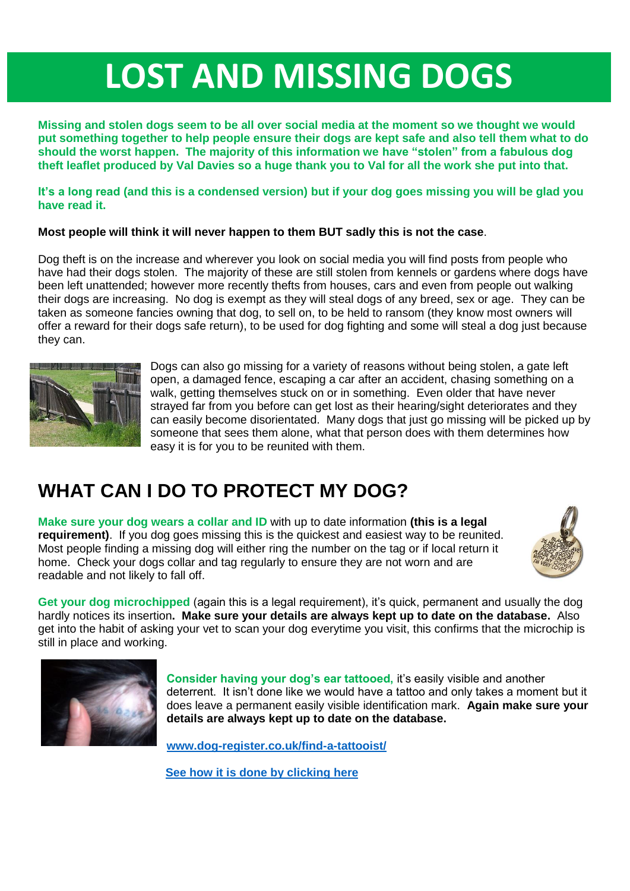# **LOST AND MISSING DOGS**

**Missing and stolen dogs seem to be all over social media at the moment so we thought we would put something together to help people ensure their dogs are kept safe and also tell them what to do should the worst happen. The majority of this information we have "stolen" from a fabulous dog theft leaflet produced by Val Davies so a huge thank you to Val for all the work she put into that.** 

**It's a long read (and this is a condensed version) but if your dog goes missing you will be glad you have read it.**

#### **Most people will think it will never happen to them BUT sadly this is not the case**.

Dog theft is on the increase and wherever you look on social media you will find posts from people who have had their dogs stolen. The majority of these are still stolen from kennels or gardens where dogs have been left unattended; however more recently thefts from houses, cars and even from people out walking their dogs are increasing. No dog is exempt as they will steal dogs of any breed, sex or age. They can be taken as someone fancies owning that dog, to sell on, to be held to ransom (they know most owners will offer a reward for their dogs safe return), to be used for dog fighting and some will steal a dog just because they can.



Dogs can also go missing for a variety of reasons without being stolen, a gate left open, a damaged fence, escaping a car after an accident, chasing something on a walk, getting themselves stuck on or in something. Even older that have never strayed far from you before can get lost as their hearing/sight deteriorates and they can easily become disorientated. Many dogs that just go missing will be picked up by someone that sees them alone, what that person does with them determines how easy it is for you to be reunited with them.

## **WHAT CAN I DO TO PROTECT MY DOG?**

**Make sure your dog wears a collar and ID** with up to date information **(this is a legal requirement)**. If you dog goes missing this is the quickest and easiest way to be reunited. Most people finding a missing dog will either ring the number on the tag or if local return it home. Check your dogs collar and tag regularly to ensure they are not worn and are readable and not likely to fall off.



**Get your dog microchipped** (again this is a legal requirement), it's quick, permanent and usually the dog hardly notices its insertion**. Make sure your details are always kept up to date on the database.** Also get into the habit of asking your vet to scan your dog everytime you visit, this confirms that the microchip is still in place and working.



**Consider having your dog's ear tattooed,** it's easily visible and another deterrent. It isn't done like we would have a tattoo and only takes a moment but it does leave a permanent easily visible identification mark. **Again make sure your details are always kept up to date on the database.**

**[www.dog-register.co.uk/find-a-tattooist/](http://www.dog-register.co.uk/find-a-tattooist/)**

**[See how it is done by clicking here](https://youtu.be/SO3ztX_FbGw)**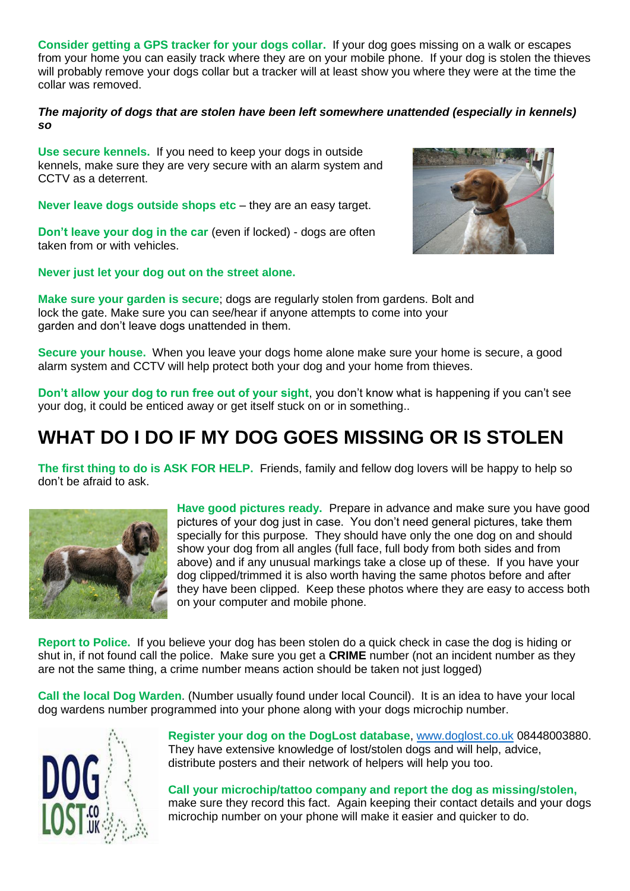**Consider getting a GPS tracker for your dogs collar.** If your dog goes missing on a walk or escapes from your home you can easily track where they are on your mobile phone. If your dog is stolen the thieves will probably remove your dogs collar but a tracker will at least show you where they were at the time the collar was removed.

#### *The majority of dogs that are stolen have been left somewhere unattended (especially in kennels) so*

**Use secure kennels.** If you need to keep your dogs in outside kennels, make sure they are very secure with an alarm system and CCTV as a deterrent.

**Never leave dogs outside shops etc** – they are an easy target.

**Don't leave your dog in the car** (even if locked) - dogs are often taken from or with vehicles.

**Never just let your dog out on the street alone.**



**Make sure your garden is secure**; dogs are regularly stolen from gardens. Bolt and lock the gate. Make sure you can see/hear if anyone attempts to come into your garden and don't leave dogs unattended in them.

**Secure your house.** When you leave your dogs home alone make sure your home is secure, a good alarm system and CCTV will help protect both your dog and your home from thieves.

**Don't allow your dog to run free out of your sight**, you don't know what is happening if you can't see your dog, it could be enticed away or get itself stuck on or in something..

### **WHAT DO I DO IF MY DOG GOES MISSING OR IS STOLEN**

**The first thing to do is ASK FOR HELP.** Friends, family and fellow dog lovers will be happy to help so don't be afraid to ask.



**Have good pictures ready.** Prepare in advance and make sure you have good pictures of your dog just in case. You don't need general pictures, take them specially for this purpose. They should have only the one dog on and should show your dog from all angles (full face, full body from both sides and from above) and if any unusual markings take a close up of these. If you have your dog clipped/trimmed it is also worth having the same photos before and after they have been clipped. Keep these photos where they are easy to access both on your computer and mobile phone.

**Report to Police.** If you believe your dog has been stolen do a quick check in case the dog is hiding or shut in, if not found call the police. Make sure you get a **CRIME** number (not an incident number as they are not the same thing, a crime number means action should be taken not just logged)

**Call the local Dog Warden**. (Number usually found under local Council). It is an idea to have your local dog wardens number programmed into your phone along with your dogs microchip number.



**Register your dog on the DogLost database**, [www.doglost.co.uk](http://www.doglost.co.uk/) 08448003880. They have extensive knowledge of lost/stolen dogs and will help, advice, distribute posters and their network of helpers will help you too.

**Call your microchip/tattoo company and report the dog as missing/stolen,** make sure they record this fact. Again keeping their contact details and your dogs microchip number on your phone will make it easier and quicker to do.